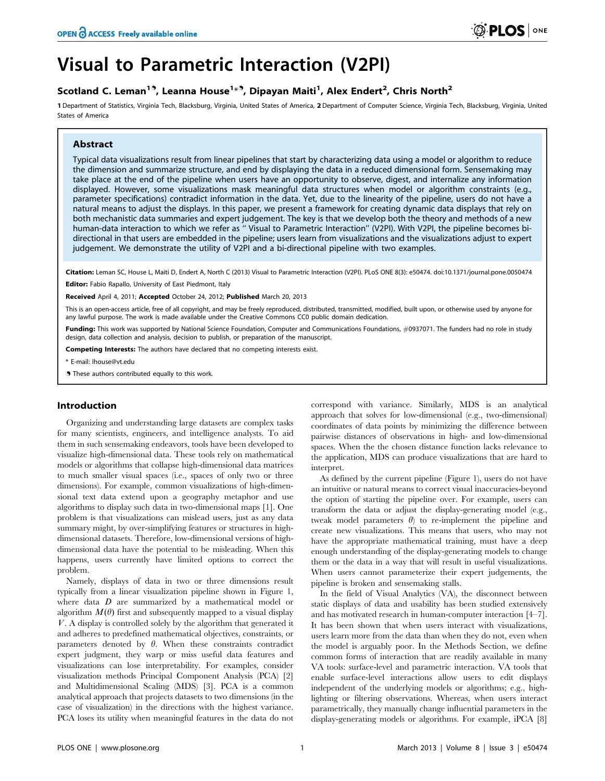# Visual to Parametric Interaction (V2PI)

# Scotland C. Leman<sup>19</sup>, Leanna House<sup>1\*9</sup>, Dipayan Maiti<sup>1</sup>, Alex Endert<sup>2</sup>, Chris North<sup>2</sup>

1 Department of Statistics, Virginia Tech, Blacksburg, Virginia, United States of America, 2 Department of Computer Science, Virginia Tech, Blacksburg, Virginia, United States of America

# Abstract

Typical data visualizations result from linear pipelines that start by characterizing data using a model or algorithm to reduce the dimension and summarize structure, and end by displaying the data in a reduced dimensional form. Sensemaking may take place at the end of the pipeline when users have an opportunity to observe, digest, and internalize any information displayed. However, some visualizations mask meaningful data structures when model or algorithm constraints (e.g., parameter specifications) contradict information in the data. Yet, due to the linearity of the pipeline, users do not have a natural means to adjust the displays. In this paper, we present a framework for creating dynamic data displays that rely on both mechanistic data summaries and expert judgement. The key is that we develop both the theory and methods of a new human-data interaction to which we refer as '' Visual to Parametric Interaction'' (V2PI). With V2PI, the pipeline becomes bidirectional in that users are embedded in the pipeline; users learn from visualizations and the visualizations adjust to expert judgement. We demonstrate the utility of V2PI and a bi-directional pipeline with two examples.

Citation: Leman SC, House L, Maiti D, Endert A, North C (2013) Visual to Parametric Interaction (V2PI). PLoS ONE 8(3): e50474. doi:10.1371/journal.pone.0050474

Editor: Fabio Rapallo, University of East Piedmont, Italy

Received April 4, 2011; Accepted October 24, 2012; Published March 20, 2013

This is an open-access article, free of all copyright, and may be freely reproduced, distributed, transmitted, modified, built upon, or otherwise used by anyone for any lawful purpose. The work is made available under the Creative Commons CC0 public domain dedication.

Funding: This work was supported by National Science Foundation, Computer and Communications Foundations, #0937071. The funders had no role in study design, data collection and analysis, decision to publish, or preparation of the manuscript.

Competing Interests: The authors have declared that no competing interests exist.

\* E-mail: lhouse@vt.edu

. These authors contributed equally to this work.

# Introduction

Organizing and understanding large datasets are complex tasks for many scientists, engineers, and intelligence analysts. To aid them in such sensemaking endeavors, tools have been developed to visualize high-dimensional data. These tools rely on mathematical models or algorithms that collapse high-dimensional data matrices to much smaller visual spaces (i.e., spaces of only two or three dimensions). For example, common visualizations of high-dimensional text data extend upon a geography metaphor and use algorithms to display such data in two-dimensional maps [1]. One problem is that visualizations can mislead users, just as any data summary might, by over-simplifying features or structures in highdimensional datasets. Therefore, low-dimensional versions of highdimensional data have the potential to be misleading. When this happens, users currently have limited options to correct the problem.

Namely, displays of data in two or three dimensions result typically from a linear visualization pipeline shown in Figure 1, where data  $D$  are summarized by a mathematical model or algorithm  $M(\theta)$  first and subsequently mapped to a visual display V. A display is controlled solely by the algorithm that generated it and adheres to predefined mathematical objectives, constraints, or parameters denoted by  $\theta$ . When these constraints contradict expert judgment, they warp or miss useful data features and visualizations can lose interpretability. For examples, consider visualization methods Principal Component Analysis (PCA) [2] and Multidimensional Scaling (MDS) [3]. PCA is a common analytical approach that projects datasets to two dimensions (in the case of visualization) in the directions with the highest variance. PCA loses its utility when meaningful features in the data do not

correspond with variance. Similarly, MDS is an analytical approach that solves for low-dimensional (e.g., two-dimensional) coordinates of data points by minimizing the difference between pairwise distances of observations in high- and low-dimensional spaces. When the the chosen distance function lacks relevance to the application, MDS can produce visualizations that are hard to interpret.

As defined by the current pipeline (Figure 1), users do not have an intuitive or natural means to correct visual inaccuracies-beyond the option of starting the pipeline over. For example, users can transform the data or adjust the display-generating model (e.g., tweak model parameters  $\theta$ ) to re-implement the pipeline and create new visualizations. This means that users, who may not have the appropriate mathematical training, must have a deep enough understanding of the display-generating models to change them or the data in a way that will result in useful visualizations. When users cannot parameterize their expert judgements, the pipeline is broken and sensemaking stalls.

In the field of Visual Analytics (VA), the disconnect between static displays of data and usability has been studied extensively and has motivated research in human-computer interaction [4–7]. It has been shown that when users interact with visualizations, users learn more from the data than when they do not, even when the model is arguably poor. In the Methods Section, we define common forms of interaction that are readily available in many VA tools: surface-level and parametric interaction. VA tools that enable surface-level interactions allow users to edit displays independent of the underlying models or algorithms; e.g., highlighting or filtering observations. Whereas, when users interact parametrically, they manually change influential parameters in the display-generating models or algorithms. For example, iPCA [8]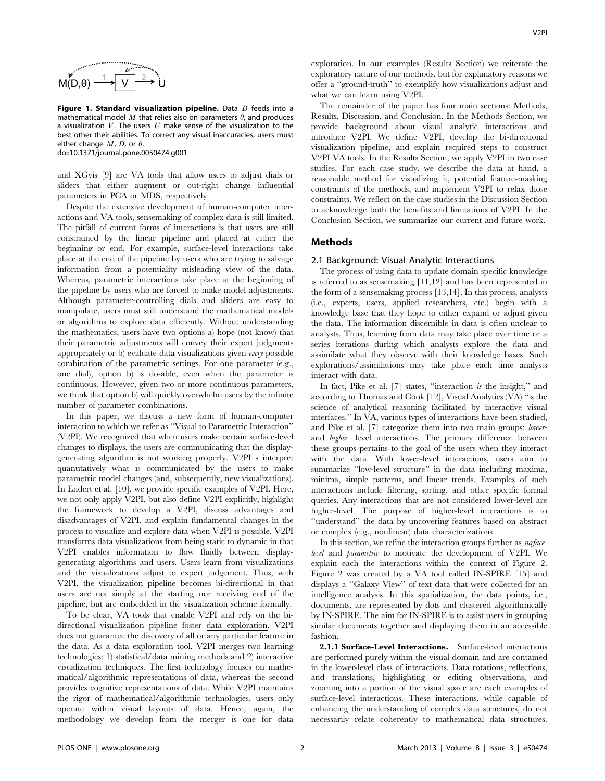

Figure 1. Standard visualization pipeline. Data  $D$  feeds into a mathematical model M that relies also on parameters  $\theta$ , and produces a visualization V. The users U make sense of the visualization to the best other their abilities. To correct any visual inaccuracies, users must either change  $M$ , D, or  $\theta$ . doi:10.1371/journal.pone.0050474.g001

and XGvis [9] are VA tools that allow users to adjust dials or sliders that either augment or out-right change influential parameters in PCA or MDS, respectively.

Despite the extensive development of human-computer interactions and VA tools, sensemaking of complex data is still limited. The pitfall of current forms of interactions is that users are still constrained by the linear pipeline and placed at either the beginning or end. For example, surface-level interactions take place at the end of the pipeline by users who are trying to salvage information from a potentiality misleading view of the data. Whereas, parametric interactions take place at the beginning of the pipeline by users who are forced to make model adjustments. Although parameter-controlling dials and sliders are easy to manipulate, users must still understand the mathematical models or algorithms to explore data efficiently. Without understanding the mathematics, users have two options a) hope (not know) that their parametric adjustments will convey their expert judgments appropriately or b) evaluate data visualizations given every possible combination of the parametric settings. For one parameter (e.g., one dial), option b) is do-able, even when the parameter is continuous. However, given two or more continuous parameters, we think that option b) will quickly overwhelm users by the infinite number of parameter combinations.

In this paper, we discuss a new form of human-computer interaction to which we refer as ''Visual to Parametric Interaction'' (V2PI). We recognized that when users make certain surface-level changes to displays, the users are communicating that the displaygenerating algorithm is not working properly. V2PI s interpret quantitatively what is communicated by the users to make parametric model changes (and, subsequently, new visualizations). In Endert et al. [10], we provide specific examples of V2PI. Here, we not only apply V2PI, but also define V2PI explicitly, highlight the framework to develop a V2PI, discuss advantages and disadvantages of V2PI, and explain fundamental changes in the process to visualize and explore data when V2PI is possible. V2PI transforms data visualizations from being static to dynamic in that V2PI enables information to flow fluidly between displaygenerating algorithms and users. Users learn from visualizations and the visualizations adjust to expert judgement. Thus, with V2PI, the visualization pipeline becomes bi-directional in that users are not simply at the starting nor receiving end of the pipeline, but are embedded in the visualization scheme formally.

To be clear, VA tools that enable V2PI and rely on the bidirectional visualization pipeline foster data exploration. V2PI does not guarantee the discovery of all or any particular feature in the data. As a data exploration tool, V2PI merges two learning technologies: 1) statistical/data mining methods and 2) interactive visualization techniques. The first technology focuses on mathematical/algorithmic representations of data, whereas the second provides cognitive representations of data. While V2PI maintains the rigor of mathematical/algorithmic technologies, users only operate within visual layouts of data. Hence, again, the methodology we develop from the merger is one for data

exploration. In our examples (Results Section) we reiterate the exploratory nature of our methods, but for explanatory reasons we offer a ''ground-truth'' to exemplify how visualizations adjust and what we can learn using V2PI.

The remainder of the paper has four main sections: Methods, Results, Discussion, and Conclusion. In the Methods Section, we provide background about visual analytic interactions and introduce V2PI. We define V2PI, develop the bi-directional visualization pipeline, and explain required steps to construct V2PI VA tools. In the Results Section, we apply V2PI in two case studies. For each case study, we describe the data at hand, a reasonable method for visualizing it, potential feature-masking constraints of the methods, and implement V2PI to relax those constraints. We reflect on the case studies in the Discussion Section to acknowledge both the benefits and limitations of V2PI. In the Conclusion Section, we summarize our current and future work.

# Methods

#### 2.1 Background: Visual Analytic Interactions

The process of using data to update domain specific knowledge is referred to as sensemaking [11,12] and has been represented in the form of a sensemaking process [13,14]. In this process, analysts (i.e., experts, users, applied researchers, etc.) begin with a knowledge base that they hope to either expand or adjust given the data. The information discernible in data is often unclear to analysts. Thus, learning from data may take place over time or a series iterations during which analysts explore the data and assimilate what they observe with their knowledge bases. Such explorations/assimilations may take place each time analysts interact with data.

In fact, Pike et al.  $[7]$  states, "interaction  $i\bar{s}$  the insight," and according to Thomas and Cook [12], Visual Analytics (VA) ''is the science of analytical reasoning facilitated by interactive visual interfaces.'' In VA, various types of interactions have been studied, and Pike et al. [7] categorize them into two main groups: lowerand higher- level interactions. The primary difference between these groups pertains to the goal of the users when they interact with the data. With lower-level interactions, users aim to summarize "low-level structure" in the data including maxima, minima, simple patterns, and linear trends. Examples of such interactions include filtering, sorting, and other specific formal queries. Any interactions that are not considered lower-level are higher-level. The purpose of higher-level interactions is to ''understand'' the data by uncovering features based on abstract or complex (e.g., nonlinear) data characterizations.

In this section, we refine the interaction groups further as surfacelevel and parametric to motivate the development of V2PI. We explain each the interactions within the context of Figure 2. Figure 2 was created by a VA tool called IN-SPIRE [15] and displays a ''Galaxy View'' of text data that were collected for an intelligence analysis. In this spatialization, the data points, i.e., documents, are represented by dots and clustered algorithmically by IN-SPIRE. The aim for IN-SPIRE is to assist users in grouping similar documents together and displaying them in an accessible fashion.

2.1.1 Surface-Level Interactions. Surface-level interactions are performed purely within the visual domain and are contained in the lower-level class of interactions. Data rotations, reflections, and translations, highlighting or editing observations, and zooming into a portion of the visual space are each examples of surface-level interactions. These interactions, while capable of enhancing the understanding of complex data structures, do not necessarily relate coherently to mathematical data structures.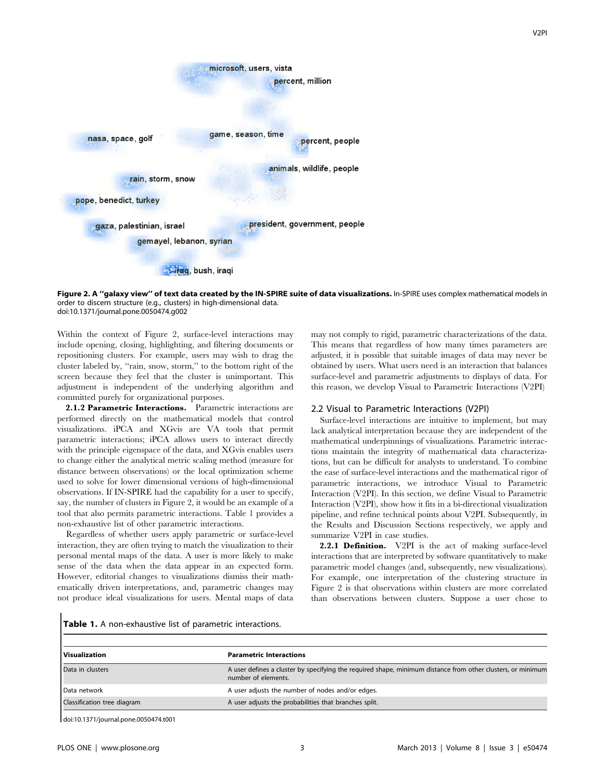

Figure 2. A "galaxy view" of text data created by the IN-SPIRE suite of data visualizations. In-SPIRE uses complex mathematical models in order to discern structure (e.g., clusters) in high-dimensional data. doi:10.1371/journal.pone.0050474.g002

Within the context of Figure 2, surface-level interactions may include opening, closing, highlighting, and filtering documents or repositioning clusters. For example, users may wish to drag the cluster labeled by, ''rain, snow, storm,'' to the bottom right of the screen because they feel that the cluster is unimportant. This adjustment is independent of the underlying algorithm and committed purely for organizational purposes.

2.1.2 Parametric Interactions. Parametric interactions are performed directly on the mathematical models that control visualizations. iPCA and XGvis are VA tools that permit parametric interactions; iPCA allows users to interact directly with the principle eigenspace of the data, and XGvis enables users to change either the analytical metric scaling method (measure for distance between observations) or the local optimization scheme used to solve for lower dimensional versions of high-dimensional observations. If IN-SPIRE had the capability for a user to specify, say, the number of clusters in Figure 2, it would be an example of a tool that also permits parametric interactions. Table 1 provides a non-exhaustive list of other parametric interactions.

Regardless of whether users apply parametric or surface-level interaction, they are often trying to match the visualization to their personal mental maps of the data. A user is more likely to make sense of the data when the data appear in an expected form. However, editorial changes to visualizations dismiss their mathematically driven interpretations, and, parametric changes may not produce ideal visualizations for users. Mental maps of data may not comply to rigid, parametric characterizations of the data. This means that regardless of how many times parameters are adjusted, it is possible that suitable images of data may never be obtained by users. What users need is an interaction that balances surface-level and parametric adjustments to displays of data. For this reason, we develop Visual to Parametric Interactions (V2PI)

#### 2.2 Visual to Parametric Interactions (V2PI)

Surface-level interactions are intuitive to implement, but may lack analytical interpretation because they are independent of the mathematical underpinnings of visualizations. Parametric interactions maintain the integrity of mathematical data characterizations, but can be difficult for analysts to understand. To combine the ease of surface-level interactions and the mathematical rigor of parametric interactions, we introduce Visual to Parametric Interaction (V2PI). In this section, we define Visual to Parametric Interaction (V2PI), show how it fits in a bi-directional visualization pipeline, and refine technical points about V2PI. Subsequently, in the Results and Discussion Sections respectively, we apply and summarize V2PI in case studies.

2.2.1 Definition. V2PI is the act of making surface-level interactions that are interpreted by software quantitatively to make parametric model changes (and, subsequently, new visualizations). For example, one interpretation of the clustering structure in Figure 2 is that observations within clusters are more correlated than observations between clusters. Suppose a user chose to

Table 1. A non-exhaustive list of parametric interactions.

| l Visualization             | <b>Parametric Interactions</b>                                                                                                     |
|-----------------------------|------------------------------------------------------------------------------------------------------------------------------------|
| Data in clusters            | A user defines a cluster by specifying the required shape, minimum distance from other clusters, or minimum<br>number of elements. |
| Data network                | A user adjusts the number of nodes and/or edges.                                                                                   |
| Classification tree diagram | A user adjusts the probabilities that branches split.                                                                              |
|                             |                                                                                                                                    |

doi:10.1371/journal.pone.0050474.t001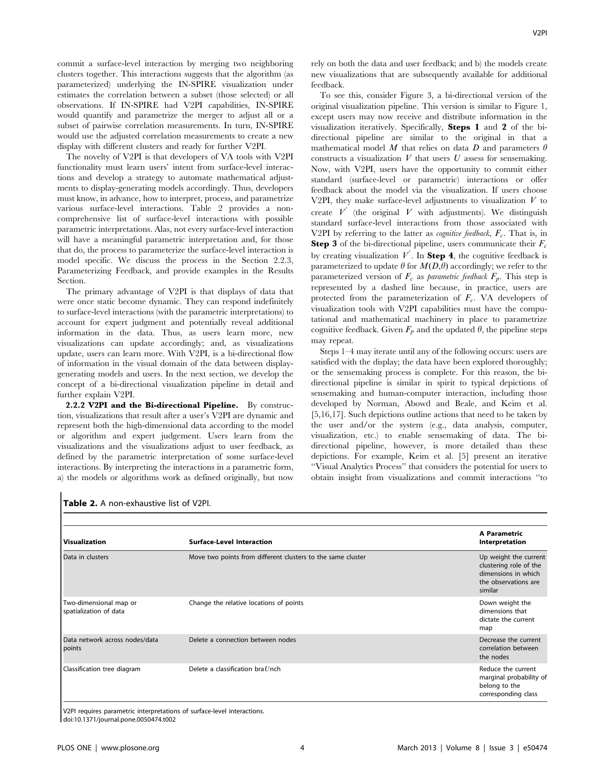commit a surface-level interaction by merging two neighboring clusters together. This interactions suggests that the algorithm (as parameterized) underlying the IN-SPIRE visualization under estimates the correlation between a subset (those selected) or all observations. If IN-SPIRE had V2PI capabilities, IN-SPIRE would quantify and parametrize the merger to adjust all or a subset of pairwise correlation measurements. In turn, IN-SPIRE would use the adjusted correlation measurements to create a new display with different clusters and ready for further V2PI.

The novelty of V2PI is that developers of VA tools with V2PI functionality must learn users' intent from surface-level interactions and develop a strategy to automate mathematical adjustments to display-generating models accordingly. Thus, developers must know, in advance, how to interpret, process, and parametrize various surface-level interactions. Table 2 provides a noncomprehensive list of surface-level interactions with possible parametric interpretations. Alas, not every surface-level interaction will have a meaningful parametric interpretation and, for those that do, the process to parameterize the surface-level interaction is model specific. We discuss the process in the Section 2.2.3, Parameterizing Feedback, and provide examples in the Results Section.

The primary advantage of V2PI is that displays of data that were once static become dynamic. They can respond indefinitely to surface-level interactions (with the parametric interpretations) to account for expert judgment and potentially reveal additional information in the data. Thus, as users learn more, new visualizations can update accordingly; and, as visualizations update, users can learn more. With V2PI, is a bi-directional flow of information in the visual domain of the data between displaygenerating models and users. In the next section, we develop the concept of a bi-directional visualization pipeline in detail and further explain V2PI.

2.2.2 V2PI and the Bi-directional Pipeline. By construction, visualizations that result after a user's V2PI are dynamic and represent both the high-dimensional data according to the model or algorithm and expert judgement. Users learn from the visualizations and the visualizations adjust to user feedback, as defined by the parametric interpretation of some surface-level interactions. By interpreting the interactions in a parametric form, a) the models or algorithms work as defined originally, but now rely on both the data and user feedback; and b) the models create new visualizations that are subsequently available for additional feedback.

To see this, consider Figure 3, a bi-directional version of the original visualization pipeline. This version is similar to Figure 1, except users may now receive and distribute information in the visualization iteratively. Specifically, Steps 1 and 2 of the bidirectional pipeline are similar to the original in that a mathematical model M that relies on data D and parameters  $\theta$ constructs a visualization  $V$  that users  $U$  assess for sensemaking. Now, with V2PI, users have the opportunity to commit either standard (surface-level or parametric) interactions or offer feedback about the model via the visualization. If users choose V2PI, they make surface-level adjustments to visualization  $V$  to create  $V'$  (the original  $V$  with adjustments). We distinguish standard surface-level interactions from those associated with V2PI by referring to the latter as *cognitive feedback*,  $F_c$ . That is, in **Step 3** of the bi-directional pipeline, users communicate their  $F_c$ by creating visualization  $V'$ . In Step 4, the cognitive feedback is parameterized to update  $\theta$  for  $M(D,\theta)$  accordingly; we refer to the parameterized version of  $F_c$  as *parametric feedback*  $F_p$ . This step is represented by a dashed line because, in practice, users are protected from the parameterization of  $F_c$ . VA developers of visualization tools with V2PI capabilities must have the computational and mathematical machinery in place to parametrize cognitive feedback. Given  $F_p$  and the updated  $\theta$ , the pipeline steps may repeat.

Steps 1–4 may iterate until any of the following occurs: users are satisfied with the display; the data have been explored thoroughly; or the sensemaking process is complete. For this reason, the bidirectional pipeline is similar in spirit to typical depictions of sensemaking and human-computer interaction, including those developed by Norman, Abowd and Beale, and Keim et al. [5,16,17]. Such depictions outline actions that need to be taken by the user and/or the system (e.g., data analysis, computer, visualization, etc.) to enable sensemaking of data. The bidirectional pipeline, however, is more detailed than these depictions. For example, Keim et al. [5] present an iterative ''Visual Analytics Process'' that considers the potential for users to obtain insight from visualizations and commit interactions ''to

| <b>Visualization</b>                             | <b>Surface-Level Interaction</b>                            | A Parametric<br>Interpretation                                                                            |
|--------------------------------------------------|-------------------------------------------------------------|-----------------------------------------------------------------------------------------------------------|
| Data in clusters                                 | Move two points from different clusters to the same cluster | Up weight the current<br>clustering role of the<br>dimensions in which<br>the observations are<br>similar |
| Two-dimensional map or<br>spatialization of data | Change the relative locations of points                     | Down weight the<br>dimensions that<br>dictate the current<br>map                                          |
| Data network across nodes/data<br>points         | Delete a connection between nodes                           | Decrease the current<br>correlation between<br>the nodes                                                  |
| Classification tree diagram                      | Delete a classification bra $U$ nch                         | Reduce the current<br>marginal probability of<br>belong to the<br>corresponding class                     |

Table 2. A non-exhaustive list of V2PI.

V2PI requires parametric interpretations of surface-level interactions. doi:10.1371/journal.pone.0050474.t002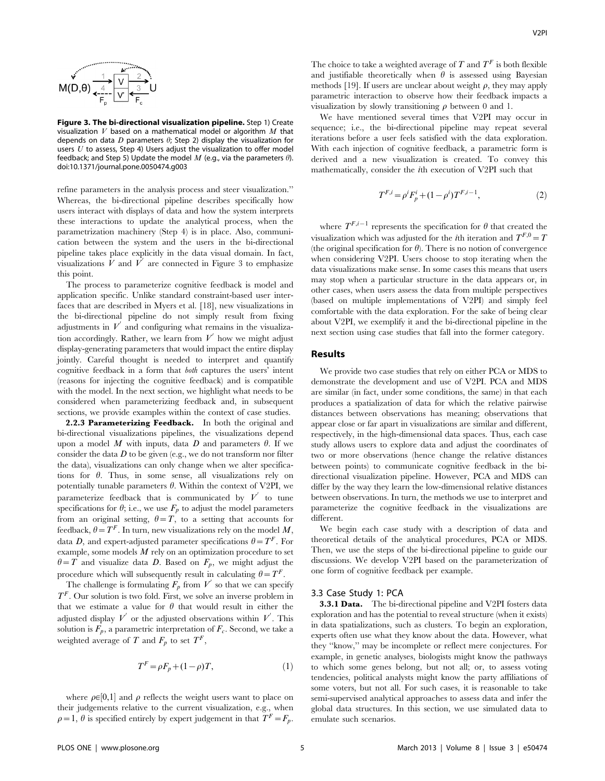

Figure 3. The bi-directional visualization pipeline. Step 1) Create visualization V based on a mathematical model or algorithm  $M$  that depends on data D parameters  $\theta$ ; Step 2) display the visualization for users  $U$  to assess, Step 4) Users adjust the visualization to offer model feedback; and Step 5) Update the model  $M$  (e.g., via the parameters  $\theta$ ). doi:10.1371/journal.pone.0050474.g003

refine parameters in the analysis process and steer visualization.'' Whereas, the bi-directional pipeline describes specifically how users interact with displays of data and how the system interprets these interactions to update the analytical process, when the parametrization machinery (Step 4) is in place. Also, communication between the system and the users in the bi-directional pipeline takes place explicitly in the data visual domain. In fact, visualizations  $\overline{V}$  and  $\overline{V}$  are connected in Figure 3 to emphasize this point.

The process to parameterize cognitive feedback is model and application specific. Unlike standard constraint-based user interfaces that are described in Myers et al. [18], new visualizations in the bi-directional pipeline do not simply result from fixing adjustments in  $V'$  and configuring what remains in the visualization accordingly. Rather, we learn from  $V'$  how we might adjust display-generating parameters that would impact the entire display jointly. Careful thought is needed to interpret and quantify cognitive feedback in a form that both captures the users' intent (reasons for injecting the cognitive feedback) and is compatible with the model. In the next section, we highlight what needs to be considered when parameterizing feedback and, in subsequent sections, we provide examples within the context of case studies.

2.2.3 Parameterizing Feedback. In both the original and bi-directional visualizations pipelines, the visualizations depend upon a model M with inputs, data D and parameters  $\theta$ . If we consider the data  $D$  to be given (e.g., we do not transform nor filter the data), visualizations can only change when we alter specifications for  $\theta$ . Thus, in some sense, all visualizations rely on potentially tunable parameters  $\theta$ . Within the context of V2PI, we parameterize feedback that is communicated by  $V^{'}$  to tune specifications for  $\theta$ ; i.e., we use  $F_p$  to adjust the model parameters from an original setting,  $\theta = T$ , to a setting that accounts for feedback,  $\theta = T^F$ . In turn, new visualizations rely on the model M, data D, and expert-adjusted parameter specifications  $\theta = T^F$ . For example, some models  $M$  rely on an optimization procedure to set  $\theta = T$  and visualize data D. Based on  $F_p$ , we might adjust the procedure which will subsequently result in calculating  $\theta = T^F$ .

The challenge is formulating  $F_p$  from  $V'$  so that we can specify  $T<sup>F</sup>$ . Our solution is two fold. First, we solve an inverse problem in that we estimate a value for  $\theta$  that would result in either the adjusted display  $V'$  or the adjusted observations within  $V'$ . This solution is  $F_p$ , a parametric interpretation of  $F_c$ . Second, we take a weighted average of T and  $F_p$  to set  $T^F$ ,

$$
T^F = \rho F_p + (1 - \rho)T,\tag{1}
$$

where  $\rho \in [0,1]$  and  $\rho$  reflects the weight users want to place on their judgements relative to the current visualization, e.g., when  $\rho=1, \theta$  is specified entirely by expert judgement in that  $T^F=F_p$ .

The choice to take a weighted average of T and  $T<sup>F</sup>$  is both flexible and justifiable theoretically when  $\theta$  is assessed using Bayesian methods [19]. If users are unclear about weight  $\rho$ , they may apply parametric interaction to observe how their feedback impacts a visualization by slowly transitioning  $\rho$  between 0 and 1.

We have mentioned several times that V2PI may occur in sequence; i.e., the bi-directional pipeline may repeat several iterations before a user feels satisfied with the data exploration. With each injection of cognitive feedback, a parametric form is derived and a new visualization is created. To convey this mathematically, consider the ith execution of V2PI such that

$$
T^{F,i} = \rho^i F_p^i + (1 - \rho^i) T^{F,i-1},\tag{2}
$$

where  $T^{F,i-1}$  represents the specification for  $\theta$  that created the visualization which was adjusted for the *i*th iteration and  $T^{F,0} = T$ (the original specification for  $\theta$ ). There is no notion of convergence when considering V2PI. Users choose to stop iterating when the data visualizations make sense. In some cases this means that users may stop when a particular structure in the data appears or, in other cases, when users assess the data from multiple perspectives (based on multiple implementations of V2PI) and simply feel comfortable with the data exploration. For the sake of being clear about V2PI, we exemplify it and the bi-directional pipeline in the next section using case studies that fall into the former category.

## Results

We provide two case studies that rely on either PCA or MDS to demonstrate the development and use of V2PI. PCA and MDS are similar (in fact, under some conditions, the same) in that each produces a spatialization of data for which the relative pairwise distances between observations has meaning; observations that appear close or far apart in visualizations are similar and different, respectively, in the high-dimensional data spaces. Thus, each case study allows users to explore data and adjust the coordinates of two or more observations (hence change the relative distances between points) to communicate cognitive feedback in the bidirectional visualization pipeline. However, PCA and MDS can differ by the way they learn the low-dimensional relative distances between observations. In turn, the methods we use to interpret and parameterize the cognitive feedback in the visualizations are different.

We begin each case study with a description of data and theoretical details of the analytical procedures, PCA or MDS. Then, we use the steps of the bi-directional pipeline to guide our discussions. We develop V2PI based on the parameterization of one form of cognitive feedback per example.

## 3.3 Case Study 1: PCA

**3.3.1 Data.** The bi-directional pipeline and V2PI fosters data exploration and has the potential to reveal structure (when it exists) in data spatializations, such as clusters. To begin an exploration, experts often use what they know about the data. However, what they ''know,'' may be incomplete or reflect mere conjectures. For example, in genetic analyses, biologists might know the pathways to which some genes belong, but not all; or, to assess voting tendencies, political analysts might know the party affiliations of some voters, but not all. For such cases, it is reasonable to take semi-supervised analytical approaches to assess data and infer the global data structures. In this section, we use simulated data to emulate such scenarios.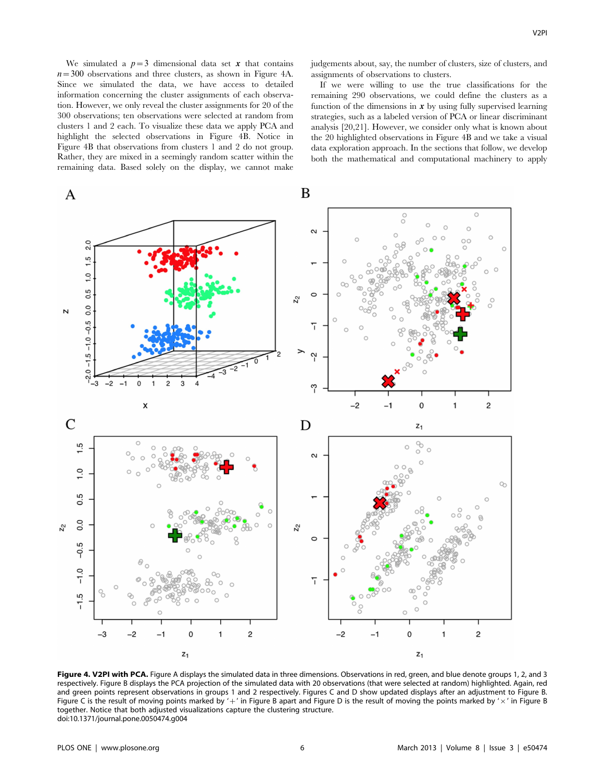We simulated a  $p=3$  dimensional data set x that contains  $n=300$  observations and three clusters, as shown in Figure 4A. Since we simulated the data, we have access to detailed information concerning the cluster assignments of each observation. However, we only reveal the cluster assignments for 20 of the 300 observations; ten observations were selected at random from clusters 1 and 2 each. To visualize these data we apply PCA and highlight the selected observations in Figure 4B. Notice in Figure 4B that observations from clusters 1 and 2 do not group. Rather, they are mixed in a seemingly random scatter within the remaining data. Based solely on the display, we cannot make judgements about, say, the number of clusters, size of clusters, and assignments of observations to clusters.

If we were willing to use the true classifications for the remaining 290 observations, we could define the clusters as a function of the dimensions in  $x$  by using fully supervised learning strategies, such as a labeled version of PCA or linear discriminant analysis [20,21]. However, we consider only what is known about the 20 highlighted observations in Figure 4B and we take a visual data exploration approach. In the sections that follow, we develop both the mathematical and computational machinery to apply



Figure 4. V2PI with PCA. Figure A displays the simulated data in three dimensions. Observations in red, green, and blue denote groups 1, 2, and 3 respectively. Figure B displays the PCA projection of the simulated data with 20 observations (that were selected at random) highlighted. Again, red and green points represent observations in groups 1 and 2 respectively. Figures C and D show updated displays after an adjustment to Figure B. Figure C is the result of moving points marked by '+' in Figure B apart and Figure D is the result of moving the points marked by ' $\times$ ' in Figure B together. Notice that both adjusted visualizations capture the clustering structure. doi:10.1371/journal.pone.0050474.g004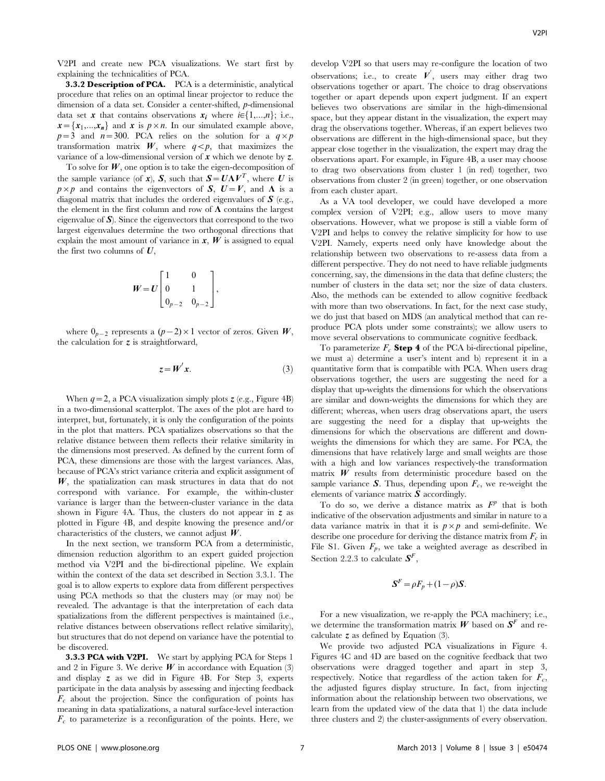V2PI and create new PCA visualizations. We start first by explaining the technicalities of PCA.

3.3.2 Description of PCA. PCA is a deterministic, analytical procedure that relies on an optimal linear projector to reduce the dimension of a data set. Consider a center-shifted, p-dimensional data set x that contains observations  $x_i$  where  $i \in \{1,...,n\}$ ; i.e.,  $x = \{x_1,...,x_n\}$  and x is  $p \times n$ . In our simulated example above,  $p=3$  and  $n=300$ . PCA relies on the solution for a  $q \times p$ transformation matrix  $W$ , where  $q < p$ , that maximizes the variance of a low-dimensional version of  $x$  which we denote by  $z$ .

To solve for  $W$ , one option is to take the eigen-decomposition of the sample variance (of x), S, such that  $S = U\Lambda V^T$ , where U is  $p \times p$  and contains the eigenvectors of S,  $U=V$ , and  $\Lambda$  is a diagonal matrix that includes the ordered eigenvalues of  $S$  (e.g., the element in the first column and row of  $\Lambda$  contains the largest eigenvalue of  $\mathbf S$ ). Since the eigenvectors that correspond to the two largest eigenvalues determine the two orthogonal directions that explain the most amount of variance in  $x$ ,  $W$  is assigned to equal the first two columns of  $U$ ,

$$
W = U \begin{bmatrix} 1 & 0 \\ 0 & 1 \\ 0_{p-2} & 0_{p-2} \end{bmatrix},
$$

where  $0_{p-2}$  represents a  $(p-2) \times 1$  vector of zeros. Given W, the calculation for z is straightforward,

$$
z = W'x.
$$
 (3)

When  $q=2$ , a PCA visualization simply plots  $z$  (e.g., Figure 4B) in a two-dimensional scatterplot. The axes of the plot are hard to interpret, but, fortunately, it is only the configuration of the points in the plot that matters. PCA spatializes observations so that the relative distance between them reflects their relative similarity in the dimensions most preserved. As defined by the current form of PCA, these dimensions are those with the largest variances. Alas, because of PCA's strict variance criteria and explicit assignment of  $W$ , the spatialization can mask structures in data that do not correspond with variance. For example, the within-cluster variance is larger than the between-cluster variance in the data shown in Figure 4A. Thus, the clusters do not appear in  $z$  as plotted in Figure 4B, and despite knowing the presence and/or characteristics of the clusters, we cannot adjust  $W$ .

In the next section, we transform PCA from a deterministic, dimension reduction algorithm to an expert guided projection method via V2PI and the bi-directional pipeline. We explain within the context of the data set described in Section 3.3.1. The goal is to allow experts to explore data from different perspectives using PCA methods so that the clusters may (or may not) be revealed. The advantage is that the interpretation of each data spatializations from the different perspectives is maintained (i.e., relative distances between observations reflect relative similarity), but structures that do not depend on variance have the potential to be discovered.

3.3.3 PCA with V2PI. We start by applying PCA for Steps 1 and 2 in Figure 3. We derive  $W$  in accordance with Equation (3) and display z as we did in Figure 4B. For Step 3, experts participate in the data analysis by assessing and injecting feedback  $F_c$  about the projection. Since the configuration of points has meaning in data spatializations, a natural surface-level interaction  $F_c$  to parameterize is a reconfiguration of the points. Here, we

develop V2PI so that users may re-configure the location of two observations; i.e., to create  $V'$ , users may either drag two observations together or apart. The choice to drag observations together or apart depends upon expert judgment. If an expert believes two observations are similar in the high-dimensional space, but they appear distant in the visualization, the expert may drag the observations together. Whereas, if an expert believes two observations are different in the high-dimensional space, but they appear close together in the visualization, the expert may drag the observations apart. For example, in Figure 4B, a user may choose to drag two observations from cluster 1 (in red) together, two observations from cluster 2 (in green) together, or one observation from each cluster apart.

As a VA tool developer, we could have developed a more complex version of V2PI; e.g., allow users to move many observations. However, what we propose is still a viable form of V2PI and helps to convey the relative simplicity for how to use V2PI. Namely, experts need only have knowledge about the relationship between two observations to re-assess data from a different perspective. They do not need to have reliable judgments concerning, say, the dimensions in the data that define clusters; the number of clusters in the data set; nor the size of data clusters. Also, the methods can be extended to allow cognitive feedback with more than two observations. In fact, for the next case study, we do just that based on MDS (an analytical method that can reproduce PCA plots under some constraints); we allow users to move several observations to communicate cognitive feedback.

To parameterize  $F_c$  Step 4 of the PCA bi-directional pipeline, we must a) determine a user's intent and b) represent it in a quantitative form that is compatible with PCA. When users drag observations together, the users are suggesting the need for a display that up-weights the dimensions for which the observations are similar and down-weights the dimensions for which they are different; whereas, when users drag observations apart, the users are suggesting the need for a display that up-weights the dimensions for which the observations are different and downweights the dimensions for which they are same. For PCA, the dimensions that have relatively large and small weights are those with a high and low variances respectively-the transformation matrix  $W$  results from deterministic procedure based on the sample variance  $S$ . Thus, depending upon  $F_c$ , we re-weight the elements of variance matrix  $S$  accordingly.

To do so, we derive a distance matrix as  $F<sup>p</sup>$  that is both indicative of the observation adjustments and similar in nature to a data variance matrix in that it is  $p \times p$  and semi-definite. We describe one procedure for deriving the distance matrix from  $F_c$  in File S1. Given  $F_p$ , we take a weighted average as described in Section 2.2.3 to calculate  $S^F$ ,

$$
\mathbf{S}^F = \rho F_p + (1 - \rho)\mathbf{S}.
$$

For a new visualization, we re-apply the PCA machinery; i.e., we determine the transformation matrix  $W$  based on  $S<sup>F</sup>$  and recalculate  $z$  as defined by Equation (3).

We provide two adjusted PCA visualizations in Figure 4. Figures 4C and 4D are based on the cognitive feedback that two observations were dragged together and apart in step 3, respectively. Notice that regardless of the action taken for  $F_c$ , the adjusted figures display structure. In fact, from injecting information about the relationship between two observations, we learn from the updated view of the data that 1) the data include three clusters and 2) the cluster-assignments of every observation.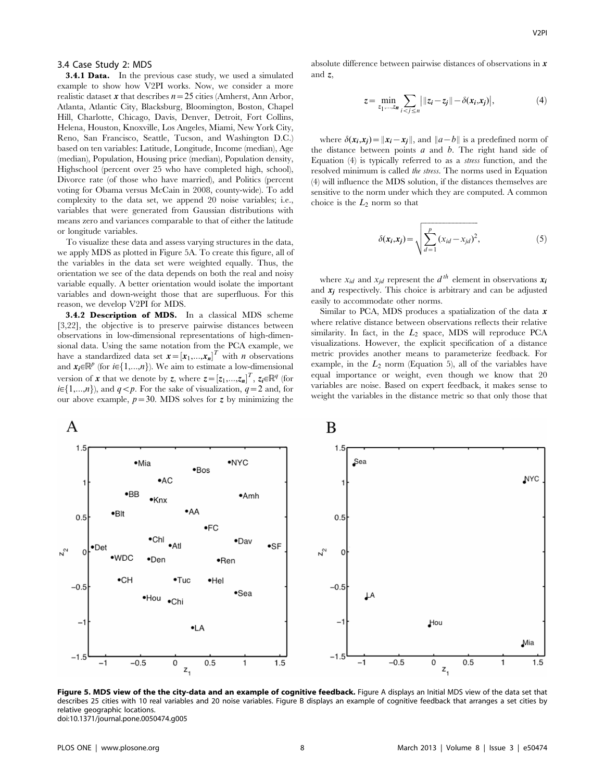#### 3.4 Case Study 2: MDS

3.4.1 Data. In the previous case study, we used a simulated example to show how V2PI works. Now, we consider a more realistic dataset x that describes  $n=25$  cities (Amherst, Ann Arbor, Atlanta, Atlantic City, Blacksburg, Bloomington, Boston, Chapel Hill, Charlotte, Chicago, Davis, Denver, Detroit, Fort Collins, Helena, Houston, Knoxville, Los Angeles, Miami, New York City, Reno, San Francisco, Seattle, Tucson, and Washington D.C.) based on ten variables: Latitude, Longitude, Income (median), Age (median), Population, Housing price (median), Population density, Highschool (percent over 25 who have completed high, school), Divorce rate (of those who have married), and Politics (percent voting for Obama versus McCain in 2008, county-wide). To add complexity to the data set, we append 20 noise variables; i.e., variables that were generated from Gaussian distributions with means zero and variances comparable to that of either the latitude or longitude variables.

To visualize these data and assess varying structures in the data, we apply MDS as plotted in Figure 5A. To create this figure, all of the variables in the data set were weighted equally. Thus, the orientation we see of the data depends on both the real and noisy variable equally. A better orientation would isolate the important variables and down-weight those that are superfluous. For this reason, we develop V2PI for MDS.

3.4.2 Description of MDS. In a classical MDS scheme [3,22], the objective is to preserve pairwise distances between observations in low-dimensional representations of high-dimensional data. Using the same notation from the PCA example, we have a standardized data set  $\mathbf{x} = [\mathbf{x}_1,...,\mathbf{x}_n]^T$  with *n* observations and  $x_i \in \mathbb{R}^p$  (for  $i \in \{1,...,n\}$ ). We aim to estimate a low-dimensional version of x that we denote by z, where  $z = [z_1,...,z_n]^T$ ,  $z_i \in \mathbb{R}^q$  (for  $i\in\{1,...,n\}$ , and  $q. For the sake of visualization,  $q=2$  and, for$ our above example,  $p=30$ . MDS solves for z by minimizing the absolute difference between pairwise distances of observations in  $x$ and z,

$$
z = \min_{z_1, ..., z_n} \sum_{i < j \le n} \left| \|z_i - z_j\| - \delta(x_i, x_j) \right|,\tag{4}
$$

where  $\delta(x_i, x_j) = ||x_i - x_j||$ , and  $||a - b||$  is a predefined norm of the distance between points  $a$  and  $b$ . The right hand side of Equation (4) is typically referred to as a stress function, and the resolved minimum is called the stress. The norms used in Equation (4) will influence the MDS solution, if the distances themselves are sensitive to the norm under which they are computed. A common choice is the  $L_2$  norm so that

$$
\delta(\mathbf{x}_i, \mathbf{x}_j) = \sqrt{\sum_{d=1}^p (x_{id} - x_{jd})^2},
$$
\n(5)

where  $x_{id}$  and  $x_{id}$  represent the  $d^{th}$  element in observations  $x_i$ and  $x_i$  respectively. This choice is arbitrary and can be adjusted easily to accommodate other norms.

Similar to PCA, MDS produces a spatialization of the data  $x$ where relative distance between observations reflects their relative similarity. In fact, in the  $L_2$  space, MDS will reproduce PCA visualizations. However, the explicit specification of a distance metric provides another means to parameterize feedback. For example, in the  $L_2$  norm (Equation 5), all of the variables have equal importance or weight, even though we know that 20 variables are noise. Based on expert feedback, it makes sense to weight the variables in the distance metric so that only those that



Figure 5. MDS view of the the city-data and an example of cognitive feedback. Figure A displays an Initial MDS view of the data set that describes 25 cities with 10 real variables and 20 noise variables. Figure B displays an example of cognitive feedback that arranges a set cities by relative geographic locations. doi:10.1371/journal.pone.0050474.g005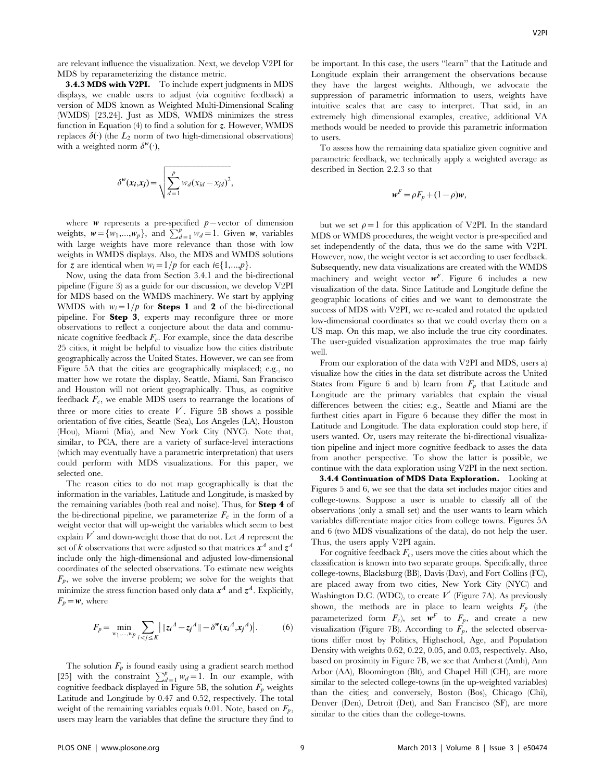are relevant influence the visualization. Next, we develop V2PI for MDS by reparameterizing the distance metric.

3.4.3 MDS with V2PI. To include expert judgments in MDS displays, we enable users to adjust (via cognitive feedback) a version of MDS known as Weighted Multi-Dimensional Scaling (WMDS) [23,24]. Just as MDS, WMDS minimizes the stress function in Equation (4) to find a solution for z. However, WMDS replaces  $\delta(\cdot)$  (the  $L_2$  norm of two high-dimensional observations) with a weighted norm  $\delta^{\mathbf{w}}(\cdot)$ ,

$$
\delta^{\mathbf{w}}(\mathbf{x}_i, \mathbf{x}_j) = \sqrt{\sum_{d=1}^p w_d(x_{id} - x_{jd})^2},
$$

where w represents a pre-specified  $p$  – vector of dimension weights,  $\mathbf{w} = \{w_1,...,w_p\}$ , and  $\sum_{d=1}^p w_d = 1$ . Given w, variables with large weights have more relevance than those with low weights in WMDS displays. Also, the MDS and WMDS solutions for z are identical when  $w_i=1/p$  for each  $i\in\{1,...,p\}$ .

Now, using the data from Section 3.4.1 and the bi-directional pipeline (Figure 3) as a guide for our discussion, we develop V2PI for MDS based on the WMDS machinery. We start by applying WMDS with  $w_i=1/p$  for **Steps 1** and 2 of the bi-directional pipeline. For Step 3, experts may reconfigure three or more observations to reflect a conjecture about the data and communicate cognitive feedback  $F_c$ . For example, since the data describe 25 cities, it might be helpful to visualize how the cities distribute geographically across the United States. However, we can see from Figure 5A that the cities are geographically misplaced; e.g., no matter how we rotate the display, Seattle, Miami, San Francisco and Houston will not orient geographically. Thus, as cognitive feedback  $F_c$ , we enable MDS users to rearrange the locations of three or more cities to create  $V'$ . Figure 5B shows a possible orientation of five cities, Seattle (Sea), Los Angeles (LA), Houston (Hou), Miami (Mia), and New York City (NYC). Note that, similar, to PCA, there are a variety of surface-level interactions (which may eventually have a parametric interpretation) that users could perform with MDS visualizations. For this paper, we selected one.

The reason cities to do not map geographically is that the information in the variables, Latitude and Longitude, is masked by the remaining variables (both real and noise). Thus, for Step 4 of the bi-directional pipeline, we parameterize  $F_c$  in the form of a weight vector that will up-weight the variables which seem to best explain  $V^{'}$  and down-weight those that do not. Let  $A$  represent the set of k observations that were adjusted so that matrices  $x^A$  and  $z^A$ include only the high-dimensional and adjusted low-dimensional coordinates of the selected observations. To estimate new weights  $F_p$ , we solve the inverse problem; we solve for the weights that minimize the stress function based only data  $x^A$  and  $z^A$ . Explicitly,  $F_p = w$ , where

$$
F_p = \min_{w_1, \dots, w_p} \sum_{i < j \le K} \left| \|z_i^A - z_j^A\| - \delta^w(x_i^A, x_j^A) \right|. \tag{6}
$$

The solution  $F_p$  is found easily using a gradient search method [25] with the constraint  $\sum_{d=1}^{p} w_d = 1$ . In our example, with cognitive feedback displayed in Figure 5B, the solution  $F_p$  weights Latitude and Longitude by 0.47 and 0.52, respectively. The total weight of the remaining variables equals 0.01. Note, based on  $F_p$ , users may learn the variables that define the structure they find to

be important. In this case, the users ''learn'' that the Latitude and Longitude explain their arrangement the observations because they have the largest weights. Although, we advocate the suppression of parametric information to users, weights have intuitive scales that are easy to interpret. That said, in an extremely high dimensional examples, creative, additional VA methods would be needed to provide this parametric information to users.

To assess how the remaining data spatialize given cognitive and parametric feedback, we technically apply a weighted average as described in Section 2.2.3 so that

$$
w^F = \rho F_p + (1 - \rho) w,
$$

but we set  $\rho=1$  for this application of V2PI. In the standard MDS or WMDS procedures, the weight vector is pre-specified and set independently of the data, thus we do the same with V2PI. However, now, the weight vector is set according to user feedback. Subsequently, new data visualizations are created with the WMDS machinery and weight vector  $w<sup>F</sup>$ . Figure 6 includes a new visualization of the data. Since Latitude and Longitude define the geographic locations of cities and we want to demonstrate the success of MDS with V2PI, we re-scaled and rotated the updated low-dimensional coordinates so that we could overlay them on a US map. On this map, we also include the true city coordinates. The user-guided visualization approximates the true map fairly well.

From our exploration of the data with V2PI and MDS, users a) visualize how the cities in the data set distribute across the United States from Figure 6 and b) learn from  $F_p$  that Latitude and Longitude are the primary variables that explain the visual differences between the cities; e.g., Seattle and Miami are the furthest cities apart in Figure 6 because they differ the most in Latitude and Longitude. The data exploration could stop here, if users wanted. Or, users may reiterate the bi-directional visualization pipeline and inject more cognitive feedback to asses the data from another perspective. To show the latter is possible, we continue with the data exploration using V2PI in the next section.

3.4.4 Continuation of MDS Data Exploration. Looking at Figures 5 and 6, we see that the data set includes major cities and college-towns. Suppose a user is unable to classify all of the observations (only a small set) and the user wants to learn which variables differentiate major cities from college towns. Figures 5A and 6 (two MDS visualizations of the data), do not help the user. Thus, the users apply V2PI again.

For cognitive feedback  $F_c$ , users move the cities about which the classification is known into two separate groups. Specifically, three college-towns, Blacksburg (BB), Davis (Dav), and Fort Collins (FC), are placed away from two cities, New York City (NYC) and Washington D.C. (WDC), to create  $V'$  (Figure 7A). As previously shown, the methods are in place to learn weights  $F_p$  (the parameterized form  $F_c$ ), set  $w^F$  to  $F_p$ , and create a new visualization (Figure 7B). According to  $F_p$ , the selected observations differ most by Politics, Highschool, Age, and Population Density with weights 0.62, 0.22, 0.05, and 0.03, respectively. Also, based on proximity in Figure 7B, we see that Amherst (Amh), Ann Arbor (AA), Bloomington (Blt), and Chapel Hill (CH), are more similar to the selected college-towns (in the up-weighted variables) than the cities; and conversely, Boston (Bos), Chicago (Chi), Denver (Den), Detroit (Det), and San Francisco (SF), are more similar to the cities than the college-towns.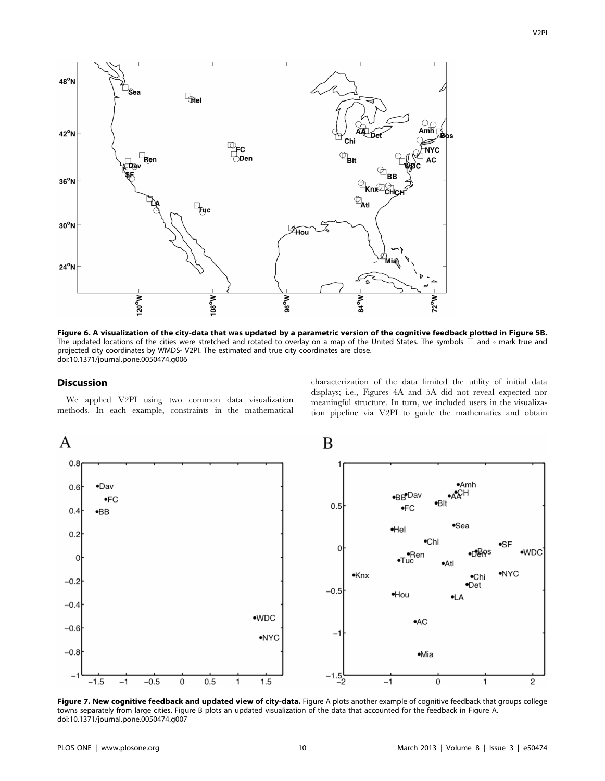

Figure 6. A visualization of the city-data that was updated by a parametric version of the cognitive feedback plotted in Figure 5B. The updated locations of the cities were stretched and rotated to overlay on a map of the United States. The symbols  $\Box$  and  $\circ$  mark true and projected city coordinates by WMDS- V2PI. The estimated and true city coordinates are close. doi:10.1371/journal.pone.0050474.g006

### Discussion

We applied V2PI using two common data visualization methods. In each example, constraints in the mathematical characterization of the data limited the utility of initial data displays; i.e., Figures 4A and 5A did not reveal expected nor meaningful structure. In turn, we included users in the visualization pipeline via V2PI to guide the mathematics and obtain



Figure 7. New cognitive feedback and updated view of city-data. Figure A plots another example of cognitive feedback that groups college towns separately from large cities. Figure B plots an updated visualization of the data that accounted for the feedback in Figure A. doi:10.1371/journal.pone.0050474.g007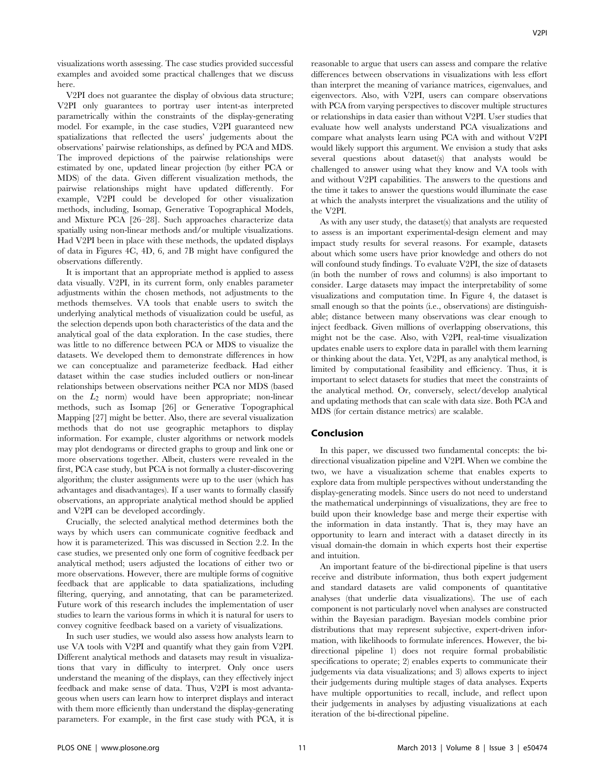visualizations worth assessing. The case studies provided successful examples and avoided some practical challenges that we discuss here.

V2PI does not guarantee the display of obvious data structure; V2PI only guarantees to portray user intent-as interpreted parametrically within the constraints of the display-generating model. For example, in the case studies, V2PI guaranteed new spatializations that reflected the users' judgements about the observations' pairwise relationships, as defined by PCA and MDS. The improved depictions of the pairwise relationships were estimated by one, updated linear projection (by either PCA or MDS) of the data. Given different visualization methods, the pairwise relationships might have updated differently. For example, V2PI could be developed for other visualization methods, including, Isomap, Generative Topographical Models, and Mixture PCA [26–28]. Such approaches characterize data spatially using non-linear methods and/or multiple visualizations. Had V2PI been in place with these methods, the updated displays of data in Figures 4C, 4D, 6, and 7B might have configured the observations differently.

It is important that an appropriate method is applied to assess data visually. V2PI, in its current form, only enables parameter adjustments within the chosen methods, not adjustments to the methods themselves. VA tools that enable users to switch the underlying analytical methods of visualization could be useful, as the selection depends upon both characteristics of the data and the analytical goal of the data exploration. In the case studies, there was little to no difference between PCA or MDS to visualize the datasets. We developed them to demonstrate differences in how we can conceptualize and parameterize feedback. Had either dataset within the case studies included outliers or non-linear relationships between observations neither PCA nor MDS (based on the  $L_2$  norm) would have been appropriate; non-linear methods, such as Isomap [26] or Generative Topographical Mapping [27] might be better. Also, there are several visualization methods that do not use geographic metaphors to display information. For example, cluster algorithms or network models may plot dendograms or directed graphs to group and link one or more observations together. Albeit, clusters were revealed in the first, PCA case study, but PCA is not formally a cluster-discovering algorithm; the cluster assignments were up to the user (which has advantages and disadvantages). If a user wants to formally classify observations, an appropriate analytical method should be applied and V2PI can be developed accordingly.

Crucially, the selected analytical method determines both the ways by which users can communicate cognitive feedback and how it is parameterized. This was discussed in Section 2.2. In the case studies, we presented only one form of cognitive feedback per analytical method; users adjusted the locations of either two or more observations. However, there are multiple forms of cognitive feedback that are applicable to data spatializations, including filtering, querying, and annotating, that can be parameterized. Future work of this research includes the implementation of user studies to learn the various forms in which it is natural for users to convey cognitive feedback based on a variety of visualizations.

In such user studies, we would also assess how analysts learn to use VA tools with V2PI and quantify what they gain from V2PI. Different analytical methods and datasets may result in visualizations that vary in difficulty to interpret. Only once users understand the meaning of the displays, can they effectively inject feedback and make sense of data. Thus, V2PI is most advantageous when users can learn how to interpret displays and interact with them more efficiently than understand the display-generating parameters. For example, in the first case study with PCA, it is

reasonable to argue that users can assess and compare the relative differences between observations in visualizations with less effort than interpret the meaning of variance matrices, eigenvalues, and eigenvectors. Also, with V2PI, users can compare observations with PCA from varying perspectives to discover multiple structures or relationships in data easier than without V2PI. User studies that evaluate how well analysts understand PCA visualizations and compare what analysts learn using PCA with and without V2PI would likely support this argument. We envision a study that asks several questions about dataset(s) that analysts would be challenged to answer using what they know and VA tools with and without V2PI capabilities. The answers to the questions and the time it takes to answer the questions would illuminate the ease at which the analysts interpret the visualizations and the utility of the V2PI.

As with any user study, the dataset(s) that analysts are requested to assess is an important experimental-design element and may impact study results for several reasons. For example, datasets about which some users have prior knowledge and others do not will confound study findings. To evaluate V2PI, the size of datasets (in both the number of rows and columns) is also important to consider. Large datasets may impact the interpretability of some visualizations and computation time. In Figure 4, the dataset is small enough so that the points (i.e., observations) are distinguishable; distance between many observations was clear enough to inject feedback. Given millions of overlapping observations, this might not be the case. Also, with V2PI, real-time visualization updates enable users to explore data in parallel with them learning or thinking about the data. Yet, V2PI, as any analytical method, is limited by computational feasibility and efficiency. Thus, it is important to select datasets for studies that meet the constraints of the analytical method. Or, conversely, select/develop analytical and updating methods that can scale with data size. Both PCA and MDS (for certain distance metrics) are scalable.

#### Conclusion

In this paper, we discussed two fundamental concepts: the bidirectional visualization pipeline and V2PI. When we combine the two, we have a visualization scheme that enables experts to explore data from multiple perspectives without understanding the display-generating models. Since users do not need to understand the mathematical underpinnings of visualizations, they are free to build upon their knowledge base and merge their expertise with the information in data instantly. That is, they may have an opportunity to learn and interact with a dataset directly in its visual domain-the domain in which experts host their expertise and intuition.

An important feature of the bi-directional pipeline is that users receive and distribute information, thus both expert judgement and standard datasets are valid components of quantitative analyses (that underlie data visualizations). The use of each component is not particularly novel when analyses are constructed within the Bayesian paradigm. Bayesian models combine prior distributions that may represent subjective, expert-driven information, with likelihoods to formulate inferences. However, the bidirectional pipeline 1) does not require formal probabilistic specifications to operate; 2) enables experts to communicate their judgements via data visualizations; and 3) allows experts to inject their judgements during multiple stages of data analyses. Experts have multiple opportunities to recall, include, and reflect upon their judgements in analyses by adjusting visualizations at each iteration of the bi-directional pipeline.